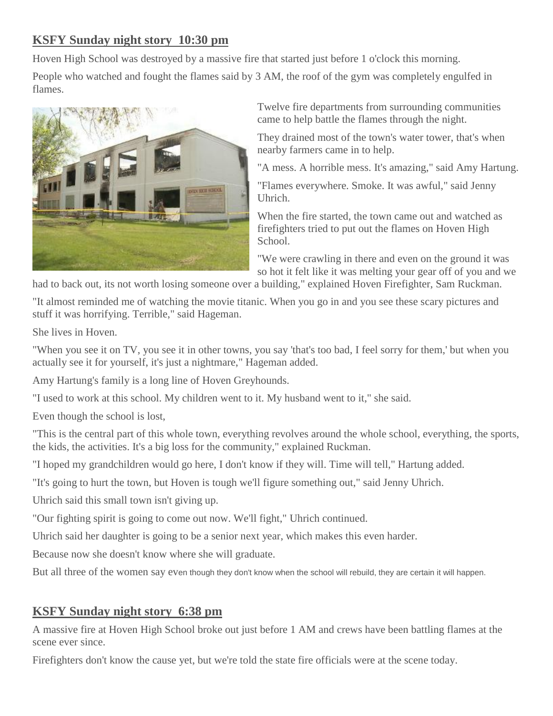## **KSFY Sunday night story 10:30 pm**

Hoven High School was destroyed by a massive fire that started just before 1 o'clock this morning.

People who watched and fought the flames said by 3 AM, the roof of the gym was completely engulfed in flames.



Twelve fire departments from surrounding communities came to help battle the flames through the night.

They drained most of the town's water tower, that's when nearby farmers came in to help.

"A mess. A horrible mess. It's amazing," said Amy Hartung.

"Flames everywhere. Smoke. It was awful," said Jenny Uhrich.

When the fire started, the town came out and watched as firefighters tried to put out the flames on Hoven High School.

"We were crawling in there and even on the ground it was so hot it felt like it was melting your gear off of you and we

had to back out, its not worth losing someone over a building," explained Hoven Firefighter, Sam Ruckman.

"It almost reminded me of watching the movie titanic. When you go in and you see these scary pictures and stuff it was horrifying. Terrible," said Hageman.

She lives in Hoven.

"When you see it on TV, you see it in other towns, you say 'that's too bad, I feel sorry for them,' but when you actually see it for yourself, it's just a nightmare," Hageman added.

Amy Hartung's family is a long line of Hoven Greyhounds.

"I used to work at this school. My children went to it. My husband went to it," she said.

Even though the school is lost,

"This is the central part of this whole town, everything revolves around the whole school, everything, the sports, the kids, the activities. It's a big loss for the community," explained Ruckman.

"I hoped my grandchildren would go here, I don't know if they will. Time will tell," Hartung added.

"It's going to hurt the town, but Hoven is tough we'll figure something out," said Jenny Uhrich.

Uhrich said this small town isn't giving up.

"Our fighting spirit is going to come out now. We'll fight," Uhrich continued.

Uhrich said her daughter is going to be a senior next year, which makes this even harder.

Because now she doesn't know where she will graduate.

But all three of the women say even though they don't know when the school will rebuild, they are certain it will happen.

## **KSFY Sunday night story 6:38 pm**

A massive fire at Hoven High School broke out just before 1 AM and crews have been battling flames at the scene ever since.

Firefighters don't know the cause yet, but we're told the state fire officials were at the scene today.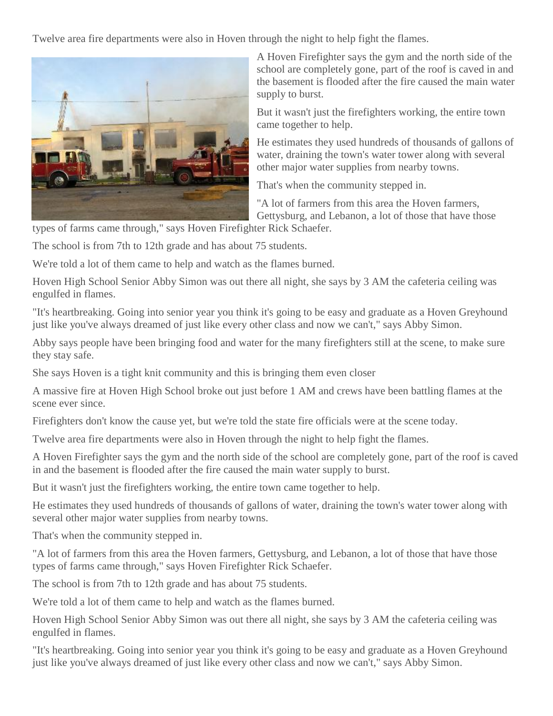Twelve area fire departments were also in Hoven through the night to help fight the flames.



A Hoven Firefighter says the gym and the north side of the school are completely gone, part of the roof is caved in and the basement is flooded after the fire caused the main water supply to burst.

But it wasn't just the firefighters working, the entire town came together to help.

He estimates they used hundreds of thousands of gallons of water, draining the town's water tower along with several other major water supplies from nearby towns.

That's when the community stepped in.

"A lot of farmers from this area the Hoven farmers, Gettysburg, and Lebanon, a lot of those that have those

types of farms came through," says Hoven Firefighter Rick Schaefer.

The school is from 7th to 12th grade and has about 75 students.

We're told a lot of them came to help and watch as the flames burned.

Hoven High School Senior Abby Simon was out there all night, she says by 3 AM the cafeteria ceiling was engulfed in flames.

"It's heartbreaking. Going into senior year you think it's going to be easy and graduate as a Hoven Greyhound just like you've always dreamed of just like every other class and now we can't," says Abby Simon.

Abby says people have been bringing food and water for the many firefighters still at the scene, to make sure they stay safe.

She says Hoven is a tight knit community and this is bringing them even closer

A massive fire at Hoven High School broke out just before 1 AM and crews have been battling flames at the scene ever since.

Firefighters don't know the cause yet, but we're told the state fire officials were at the scene today.

Twelve area fire departments were also in Hoven through the night to help fight the flames.

A Hoven Firefighter says the gym and the north side of the school are completely gone, part of the roof is caved in and the basement is flooded after the fire caused the main water supply to burst.

But it wasn't just the firefighters working, the entire town came together to help.

He estimates they used hundreds of thousands of gallons of water, draining the town's water tower along with several other major water supplies from nearby towns.

That's when the community stepped in.

"A lot of farmers from this area the Hoven farmers, Gettysburg, and Lebanon, a lot of those that have those types of farms came through," says Hoven Firefighter Rick Schaefer.

The school is from 7th to 12th grade and has about 75 students.

We're told a lot of them came to help and watch as the flames burned.

Hoven High School Senior Abby Simon was out there all night, she says by 3 AM the cafeteria ceiling was engulfed in flames.

"It's heartbreaking. Going into senior year you think it's going to be easy and graduate as a Hoven Greyhound just like you've always dreamed of just like every other class and now we can't," says Abby Simon.